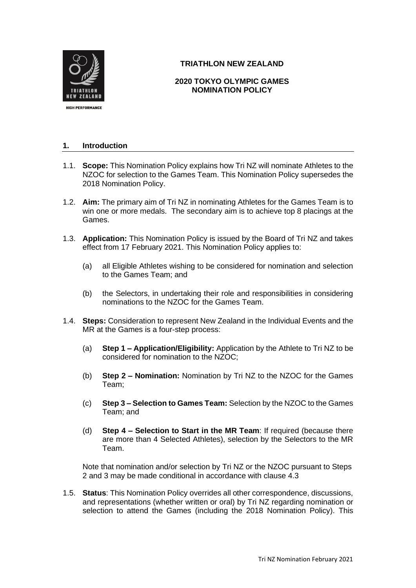

# **TRIATHLON NEW ZEALAND**

# **2020 TOKYO OLYMPIC GAMES NOMINATION POLICY**

## **1. Introduction**

- 1.1. **Scope:** This Nomination Policy explains how Tri NZ will nominate Athletes to the NZOC for selection to the Games Team. This Nomination Policy supersedes the 2018 Nomination Policy.
- 1.2. **Aim:** The primary aim of Tri NZ in nominating Athletes for the Games Team is to win one or more medals. The secondary aim is to achieve top 8 placings at the Games.
- <span id="page-0-0"></span>1.3. **Application:** This Nomination Policy is issued by the Board of Tri NZ and takes effect from 17 February 2021. This Nomination Policy applies to:
	- (a) all Eligible Athletes wishing to be considered for nomination and selection to the Games Team; and
	- (b) the Selectors, in undertaking their role and responsibilities in considering nominations to the NZOC for the Games Team.
- 1.4. **Steps:** Consideration to represent New Zealand in the Individual Events and the MR at the Games is a four-step process:
	- (a) **Step 1 – Application/Eligibility:** Application by the Athlete to Tri NZ to be considered for nomination to the NZOC;
	- (b) **Step 2 – Nomination:** Nomination by Tri NZ to the NZOC for the Games Team;
	- (c) **Step 3 – Selection to Games Team:** Selection by the NZOC to the Games Team; and
	- (d) **Step 4 – Selection to Start in the MR Team**: If required (because there are more than 4 Selected Athletes), selection by the Selectors to the MR Team.

Note that nomination and/or selection by Tri NZ or the NZOC pursuant to Steps 2 and 3 may be made conditional in accordance with clause 4.3

1.5. **Status**: This Nomination Policy overrides all other correspondence, discussions, and representations (whether written or oral) by Tri NZ regarding nomination or selection to attend the Games (including the 2018 Nomination Policy). This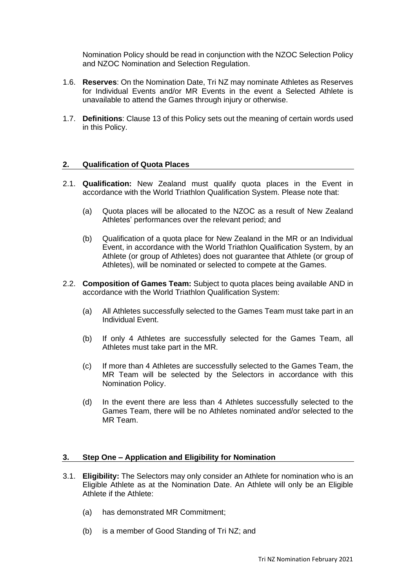Nomination Policy should be read in conjunction with the NZOC Selection Policy and NZOC Nomination and Selection Regulation.

- 1.6. **Reserves**: On the Nomination Date, Tri NZ may nominate Athletes as Reserves for Individual Events and/or MR Events in the event a Selected Athlete is unavailable to attend the Games through injury or otherwise.
- 1.7. **Definitions**: Clause [13](#page-12-0) of this Policy sets out the meaning of certain words used in this Policy.

### <span id="page-1-1"></span>**2. Qualification of Quota Places**

- 2.1. **Qualification:** New Zealand must qualify quota places in the Event in accordance with the World Triathlon Qualification System. Please note that:
	- (a) Quota places will be allocated to the NZOC as a result of New Zealand Athletes' performances over the relevant period; and
	- (b) Qualification of a quota place for New Zealand in the MR or an Individual Event, in accordance with the World Triathlon Qualification System, by an Athlete (or group of Athletes) does not guarantee that Athlete (or group of Athletes), will be nominated or selected to compete at the Games.
- 2.2. **Composition of Games Team:** Subject to quota places being available AND in accordance with the World Triathlon Qualification System:
	- (a) All Athletes successfully selected to the Games Team must take part in an Individual Event.
	- (b) If only 4 Athletes are successfully selected for the Games Team, all Athletes must take part in the MR.
	- (c) If more than 4 Athletes are successfully selected to the Games Team, the MR Team will be selected by the Selectors in accordance with this Nomination Policy.
	- (d) In the event there are less than 4 Athletes successfully selected to the Games Team, there will be no Athletes nominated and/or selected to the MR Team.

#### <span id="page-1-2"></span>**3. Step One – Application and Eligibility for Nomination**

- <span id="page-1-0"></span>3.1. **Eligibility:** The Selectors may only consider an Athlete for nomination who is an Eligible Athlete as at the Nomination Date. An Athlete will only be an Eligible Athlete if the Athlete:
	- (a) has demonstrated MR Commitment;
	- (b) is a member of Good Standing of Tri NZ; and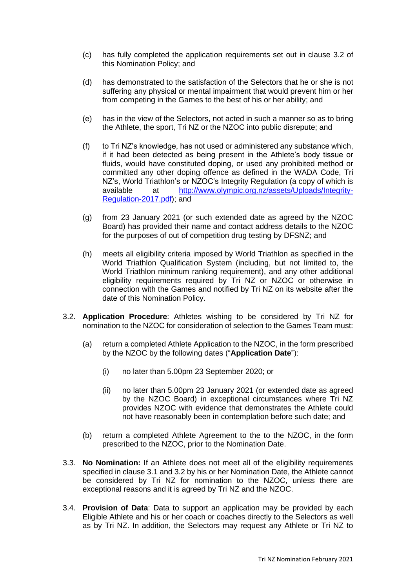- (c) has fully completed the application requirements set out in clause [3.2](#page-2-0) of this Nomination Policy; and
- (d) has demonstrated to the satisfaction of the Selectors that he or she is not suffering any physical or mental impairment that would prevent him or her from competing in the Games to the best of his or her ability; and
- (e) has in the view of the Selectors, not acted in such a manner so as to bring the Athlete, the sport, Tri NZ or the NZOC into public disrepute; and
- (f) to Tri NZ's knowledge, has not used or administered any substance which, if it had been detected as being present in the Athlete's body tissue or fluids, would have constituted doping, or used any prohibited method or committed any other doping offence as defined in the WADA Code, Tri NZ's, World Triathlon's or NZOC's Integrity Regulation (a copy of which is available at [http://www.olympic.org.nz/assets/Uploads/Integrity-](http://www.olympic.org.nz/assets/Uploads/Integrity-Regulation-2017.pdf)[Regulation-2017.pdf\)](http://www.olympic.org.nz/assets/Uploads/Integrity-Regulation-2017.pdf); and
- (g) from 23 January 2021 (or such extended date as agreed by the NZOC Board) has provided their name and contact address details to the NZOC for the purposes of out of competition drug testing by DFSNZ; and
- (h) meets all eligibility criteria imposed by World Triathlon as specified in the World Triathlon Qualification System (including, but not limited to, the World Triathlon minimum ranking requirement), and any other additional eligibility requirements required by Tri NZ or NZOC or otherwise in connection with the Games and notified by Tri NZ on its website after the date of this Nomination Policy.
- <span id="page-2-1"></span><span id="page-2-0"></span>3.2. **Application Procedure**: Athletes wishing to be considered by Tri NZ for nomination to the NZOC for consideration of selection to the Games Team must:
	- (a) return a completed Athlete Application to the NZOC, in the form prescribed by the NZOC by the following dates ("**Application Date**"):
		- (i) no later than 5.00pm 23 September 2020; or
		- (ii) no later than 5.00pm 23 January 2021 (or extended date as agreed by the NZOC Board) in exceptional circumstances where Tri NZ provides NZOC with evidence that demonstrates the Athlete could not have reasonably been in contemplation before such date; and
	- (b) return a completed Athlete Agreement to the to the NZOC, in the form prescribed to the NZOC, prior to the Nomination Date.
- 3.3. **No Nomination:** If an Athlete does not meet all of the eligibility requirements specified in clause [3.1](#page-1-0) and 3.2 by his or her Nomination Date, the Athlete cannot be considered by Tri NZ for nomination to the NZOC, unless there are exceptional reasons and it is agreed by Tri NZ and the NZOC.
- 3.4. **Provision of Data**: Data to support an application may be provided by each Eligible Athlete and his or her coach or coaches directly to the Selectors as well as by Tri NZ. In addition, the Selectors may request any Athlete or Tri NZ to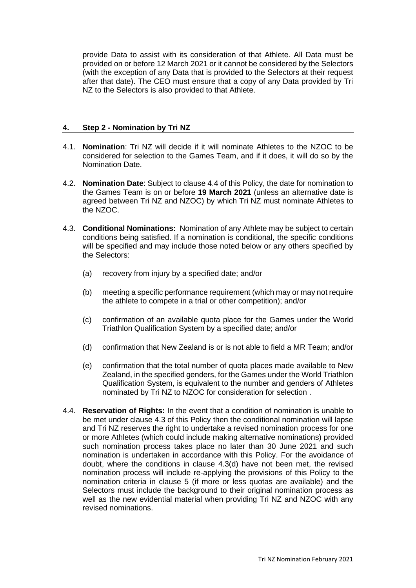provide Data to assist with its consideration of that Athlete. All Data must be provided on or before 12 March 2021 or it cannot be considered by the Selectors (with the exception of any Data that is provided to the Selectors at their request after that date). The CEO must ensure that a copy of any Data provided by Tri NZ to the Selectors is also provided to that Athlete.

### **4. Step 2 - Nomination by Tri NZ**

- 4.1. **Nomination**: Tri NZ will decide if it will nominate Athletes to the NZOC to be considered for selection to the Games Team, and if it does, it will do so by the Nomination Date.
- <span id="page-3-0"></span>4.2. **Nomination Date**: Subject to clause 4.4 of this Policy, the date for nomination to the Games Team is on or before **19 March 2021** (unless an alternative date is agreed between Tri NZ and NZOC) by which Tri NZ must nominate Athletes to the NZOC.
- 4.3. **Conditional Nominations:** Nomination of any Athlete may be subject to certain conditions being satisfied. If a nomination is conditional, the specific conditions will be specified and may include those noted below or any others specified by the Selectors:
	- (a) recovery from injury by a specified date; and/or
	- (b) meeting a specific performance requirement (which may or may not require the athlete to compete in a trial or other competition); and/or
	- (c) confirmation of an available quota place for the Games under the World Triathlon Qualification System by a specified date; and/or
	- (d) confirmation that New Zealand is or is not able to field a MR Team; and/or
	- (e) confirmation that the total number of quota places made available to New Zealand, in the specified genders, for the Games under the World Triathlon Qualification System, is equivalent to the number and genders of Athletes nominated by Tri NZ to NZOC for consideration for selection .
- 4.4. **Reservation of Rights:** In the event that a condition of nomination is unable to be met under clause 4.3 of this Policy then the conditional nomination will lapse and Tri NZ reserves the right to undertake a revised nomination process for one or more Athletes (which could include making alternative nominations) provided such nomination process takes place no later than 30 June 2021 and such nomination is undertaken in accordance with this Policy. For the avoidance of doubt, where the conditions in clause 4.3(d) have not been met, the revised nomination process will include re-applying the provisions of this Policy to the nomination criteria in clause 5 (if more or less quotas are available) and the Selectors must include the background to their original nomination process as well as the new evidential material when providing Tri NZ and NZOC with any revised nominations.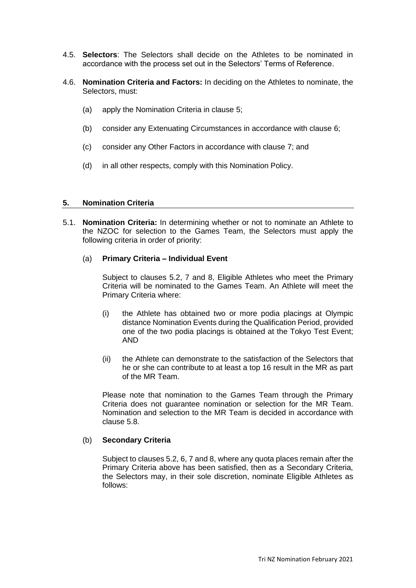- 4.5. **Selectors**: The Selectors shall decide on the Athletes to be nominated in accordance with the process set out in the Selectors' Terms of Reference.
- 4.6. **Nomination Criteria and Factors:** In deciding on the Athletes to nominate, the Selectors, must:
	- (a) apply the Nomination Criteria in clause [5;](#page-4-0)
	- (b) consider any Extenuating Circumstances in accordance with clause [6;](#page-7-0)
	- (c) consider any Other Factors in accordance with clause [7;](#page-8-0) and
	- (d) in all other respects, comply with this Nomination Policy.

#### <span id="page-4-0"></span>**5. Nomination Criteria**

<span id="page-4-1"></span>5.1. **Nomination Criteria:** In determining whether or not to nominate an Athlete to the NZOC for selection to the Games Team, the Selectors must apply the following criteria in order of priority:

### (a) **Primary Criteria – Individual Event**

Subject to clauses 5.2, 7 and 8, Eligible Athletes who meet the Primary Criteria will be nominated to the Games Team. An Athlete will meet the Primary Criteria where:

- (i) the Athlete has obtained two or more podia placings at Olympic distance Nomination Events during the Qualification Period, provided one of the two podia placings is obtained at the Tokyo Test Event; AND
- (ii) the Athlete can demonstrate to the satisfaction of the Selectors that he or she can contribute to at least a top 16 result in the MR as part of the MR Team.

Please note that nomination to the Games Team through the Primary Criteria does not guarantee nomination or selection for the MR Team. Nomination and selection to the MR Team is decided in accordance with clause 5.8.

## (b) **Secondary Criteria**

Subject to clauses 5.2, 6, 7 and 8, where any quota places remain after the Primary Criteria above has been satisfied, then as a Secondary Criteria, the Selectors may, in their sole discretion, nominate Eligible Athletes as follows: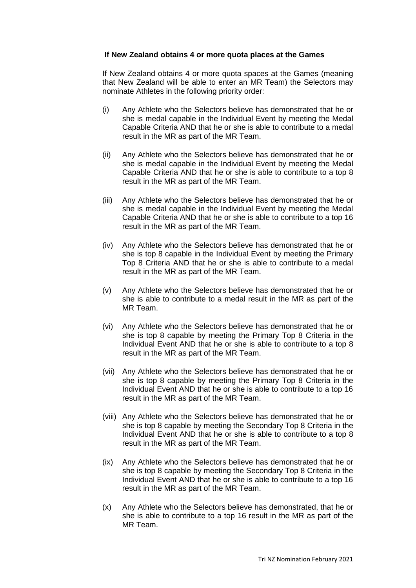### **If New Zealand obtains 4 or more quota places at the Games**

If New Zealand obtains 4 or more quota spaces at the Games (meaning that New Zealand will be able to enter an MR Team) the Selectors may nominate Athletes in the following priority order:

- (i) Any Athlete who the Selectors believe has demonstrated that he or she is medal capable in the Individual Event by meeting the Medal Capable Criteria AND that he or she is able to contribute to a medal result in the MR as part of the MR Team.
- (ii) Any Athlete who the Selectors believe has demonstrated that he or she is medal capable in the Individual Event by meeting the Medal Capable Criteria AND that he or she is able to contribute to a top 8 result in the MR as part of the MR Team.
- (iii) Any Athlete who the Selectors believe has demonstrated that he or she is medal capable in the Individual Event by meeting the Medal Capable Criteria AND that he or she is able to contribute to a top 16 result in the MR as part of the MR Team.
- (iv) Any Athlete who the Selectors believe has demonstrated that he or she is top 8 capable in the Individual Event by meeting the Primary Top 8 Criteria AND that he or she is able to contribute to a medal result in the MR as part of the MR Team.
- (v) Any Athlete who the Selectors believe has demonstrated that he or she is able to contribute to a medal result in the MR as part of the MR Team.
- (vi) Any Athlete who the Selectors believe has demonstrated that he or she is top 8 capable by meeting the Primary Top 8 Criteria in the Individual Event AND that he or she is able to contribute to a top 8 result in the MR as part of the MR Team.
- (vii) Any Athlete who the Selectors believe has demonstrated that he or she is top 8 capable by meeting the Primary Top 8 Criteria in the Individual Event AND that he or she is able to contribute to a top 16 result in the MR as part of the MR Team.
- (viii) Any Athlete who the Selectors believe has demonstrated that he or she is top 8 capable by meeting the Secondary Top 8 Criteria in the Individual Event AND that he or she is able to contribute to a top 8 result in the MR as part of the MR Team.
- (ix) Any Athlete who the Selectors believe has demonstrated that he or she is top 8 capable by meeting the Secondary Top 8 Criteria in the Individual Event AND that he or she is able to contribute to a top 16 result in the MR as part of the MR Team.
- (x) Any Athlete who the Selectors believe has demonstrated, that he or she is able to contribute to a top 16 result in the MR as part of the MR Team.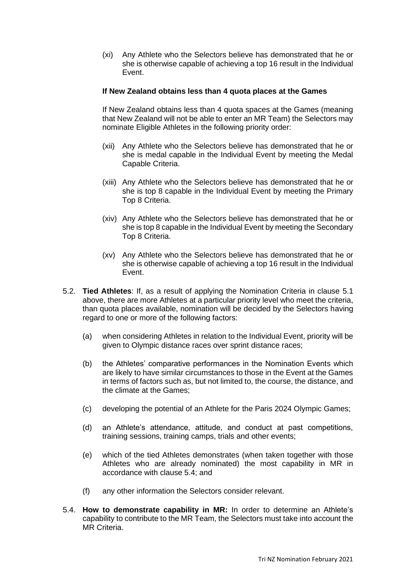(xi) Any Athlete who the Selectors believe has demonstrated that he or she is otherwise capable of achieving a top 16 result in the Individual Event.

### **If New Zealand obtains less than 4 quota places at the Games**

If New Zealand obtains less than 4 quota spaces at the Games (meaning that New Zealand will not be able to enter an MR Team) the Selectors may nominate Eligible Athletes in the following priority order:

- (xii) Any Athlete who the Selectors believe has demonstrated that he or she is medal capable in the Individual Event by meeting the Medal Capable Criteria.
- (xiii) Any Athlete who the Selectors believe has demonstrated that he or she is top 8 capable in the Individual Event by meeting the Primary Top 8 Criteria.
- (xiv) Any Athlete who the Selectors believe has demonstrated that he or she is top 8 capable in the Individual Event by meeting the Secondary Top 8 Criteria.
- (xv) Any Athlete who the Selectors believe has demonstrated that he or she is otherwise capable of achieving a top 16 result in the Individual Event.
- 5.2. **Tied Athletes**: If, as a result of applying the Nomination Criteria in clause [5.1](#page-4-1) above, there are more Athletes at a particular priority level who meet the criteria, than quota places available, nomination will be decided by the Selectors having regard to one or more of the following factors:
	- (a) when considering Athletes in relation to the Individual Event, priority will be given to Olympic distance races over sprint distance races;
	- (b) the Athletes' comparative performances in the Nomination Events which are likely to have similar circumstances to those in the Event at the Games in terms of factors such as, but not limited to, the course, the distance, and the climate at the Games;
	- (c) developing the potential of an Athlete for the Paris 2024 Olympic Games;
	- (d) an Athlete's attendance, attitude, and conduct at past competitions, training sessions, training camps, trials and other events;
	- (e) which of the tied Athletes demonstrates (when taken together with those Athletes who are already nominated) the most capability in MR in accordance with clause 5.4; and
	- (f) any other information the Selectors consider relevant.
- 5.4. **How to demonstrate capability in MR:** In order to determine an Athlete's capability to contribute to the MR Team, the Selectors must take into account the MR Criteria.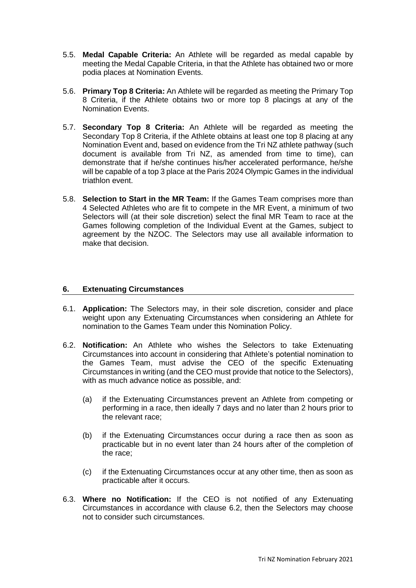- 5.5. **Medal Capable Criteria:** An Athlete will be regarded as medal capable by meeting the Medal Capable Criteria, in that the Athlete has obtained two or more podia places at Nomination Events.
- 5.6. **Primary Top 8 Criteria:** An Athlete will be regarded as meeting the Primary Top 8 Criteria, if the Athlete obtains two or more top 8 placings at any of the Nomination Events.
- 5.7. **Secondary Top 8 Criteria:** An Athlete will be regarded as meeting the Secondary Top 8 Criteria, if the Athlete obtains at least one top 8 placing at any Nomination Event and, based on evidence from the Tri NZ athlete pathway (such document is available from Tri NZ, as amended from time to time), can demonstrate that if he/she continues his/her accelerated performance, he/she will be capable of a top 3 place at the Paris 2024 Olympic Games in the individual triathlon event.
- 5.8. **Selection to Start in the MR Team:** If the Games Team comprises more than 4 Selected Athletes who are fit to compete in the MR Event, a minimum of two Selectors will (at their sole discretion) select the final MR Team to race at the Games following completion of the Individual Event at the Games, subject to agreement by the NZOC. The Selectors may use all available information to make that decision.

## <span id="page-7-0"></span>**6. Extenuating Circumstances**

- 6.1. **Application:** The Selectors may, in their sole discretion, consider and place weight upon any Extenuating Circumstances when considering an Athlete for nomination to the Games Team under this Nomination Policy.
- <span id="page-7-1"></span>6.2. **Notification:** An Athlete who wishes the Selectors to take Extenuating Circumstances into account in considering that Athlete's potential nomination to the Games Team, must advise the CEO of the specific Extenuating Circumstances in writing (and the CEO must provide that notice to the Selectors), with as much advance notice as possible, and:
	- (a) if the Extenuating Circumstances prevent an Athlete from competing or performing in a race, then ideally 7 days and no later than 2 hours prior to the relevant race;
	- (b) if the Extenuating Circumstances occur during a race then as soon as practicable but in no event later than 24 hours after of the completion of the race;
	- (c) if the Extenuating Circumstances occur at any other time, then as soon as practicable after it occurs.
- 6.3. **Where no Notification:** If the CEO is not notified of any Extenuating Circumstances in accordance with clause [6.2,](#page-7-1) then the Selectors may choose not to consider such circumstances.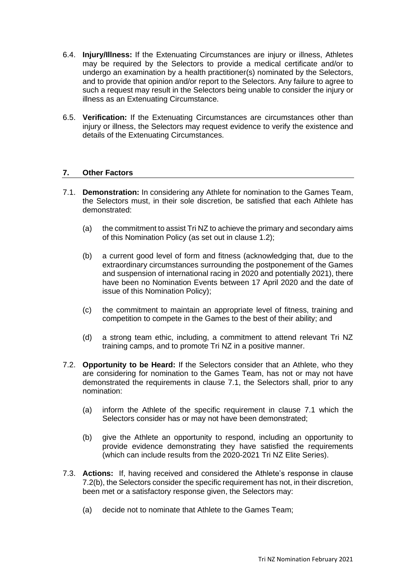- 6.4. **Injury/Illness:** If the Extenuating Circumstances are injury or illness, Athletes may be required by the Selectors to provide a medical certificate and/or to undergo an examination by a health practitioner(s) nominated by the Selectors, and to provide that opinion and/or report to the Selectors. Any failure to agree to such a request may result in the Selectors being unable to consider the injury or illness as an Extenuating Circumstance.
- 6.5. **Verification:** If the Extenuating Circumstances are circumstances other than injury or illness, the Selectors may request evidence to verify the existence and details of the Extenuating Circumstances.

## <span id="page-8-0"></span>**7. Other Factors**

- <span id="page-8-1"></span>7.1. **Demonstration:** In considering any Athlete for nomination to the Games Team, the Selectors must, in their sole discretion, be satisfied that each Athlete has demonstrated:
	- (a) the commitment to assist Tri NZ to achieve the primary and secondary aims of this Nomination Policy (as set out in clause 1.2);
	- (b) a current good level of form and fitness (acknowledging that, due to the extraordinary circumstances surrounding the postponement of the Games and suspension of international racing in 2020 and potentially 2021), there have been no Nomination Events between 17 April 2020 and the date of issue of this Nomination Policy);
	- (c) the commitment to maintain an appropriate level of fitness, training and competition to compete in the Games to the best of their ability; and
	- (d) a strong team ethic, including, a commitment to attend relevant Tri NZ training camps, and to promote Tri NZ in a positive manner.
- 7.2. **Opportunity to be Heard:** If the Selectors consider that an Athlete, who they are considering for nomination to the Games Team, has not or may not have demonstrated the requirements in clause [7.1,](#page-8-1) the Selectors shall, prior to any nomination:
	- (a) inform the Athlete of the specific requirement in clause [7.1](#page-8-1) which the Selectors consider has or may not have been demonstrated;
	- (b) give the Athlete an opportunity to respond, including an opportunity to provide evidence demonstrating they have satisfied the requirements (which can include results from the 2020-2021 Tri NZ Elite Series).
- <span id="page-8-2"></span>7.3. **Actions:** If, having received and considered the Athlete's response in clause [7.2\(b\),](#page-8-2) the Selectors consider the specific requirement has not, in their discretion, been met or a satisfactory response given, the Selectors may:
	- (a) decide not to nominate that Athlete to the Games Team;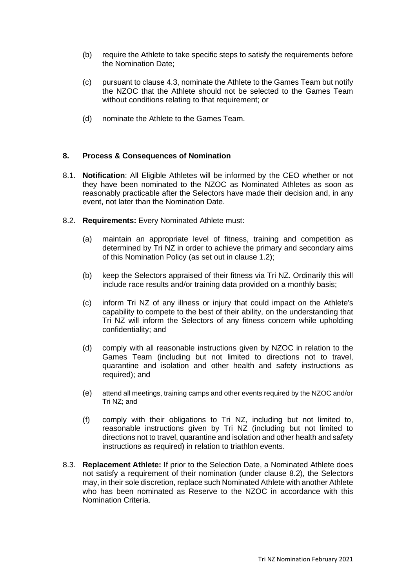- (b) require the Athlete to take specific steps to satisfy the requirements before the Nomination Date;
- (c) pursuant to clause 4.3, nominate the Athlete to the Games Team but notify the NZOC that the Athlete should not be selected to the Games Team without conditions relating to that requirement; or
- (d) nominate the Athlete to the Games Team.

### **8. Process & Consequences of Nomination**

- 8.1. **Notification**: All Eligible Athletes will be informed by the CEO whether or not they have been nominated to the NZOC as Nominated Athletes as soon as reasonably practicable after the Selectors have made their decision and, in any event, not later than the Nomination Date.
- <span id="page-9-0"></span>8.2. **Requirements:** Every Nominated Athlete must:
	- (a) maintain an appropriate level of fitness, training and competition as determined by Tri NZ in order to achieve the primary and secondary aims of this Nomination Policy (as set out in clause 1.2);
	- (b) keep the Selectors appraised of their fitness via Tri NZ. Ordinarily this will include race results and/or training data provided on a monthly basis;
	- (c) inform Tri NZ of any illness or injury that could impact on the Athlete's capability to compete to the best of their ability, on the understanding that Tri NZ will inform the Selectors of any fitness concern while upholding confidentiality; and
	- (d) comply with all reasonable instructions given by NZOC in relation to the Games Team (including but not limited to directions not to travel, quarantine and isolation and other health and safety instructions as required); and
	- (e) attend all meetings, training camps and other events required by the NZOC and/or Tri NZ; and
	- (f) comply with their obligations to Tri NZ, including but not limited to, reasonable instructions given by Tri NZ (including but not limited to directions not to travel, quarantine and isolation and other health and safety instructions as required) in relation to triathlon events.
- 8.3. **Replacement Athlete:** If prior to the Selection Date, a Nominated Athlete does not satisfy a requirement of their nomination (under clause [8.2\)](#page-9-0), the Selectors may, in their sole discretion, replace such Nominated Athlete with another Athlete who has been nominated as Reserve to the NZOC in accordance with this Nomination Criteria.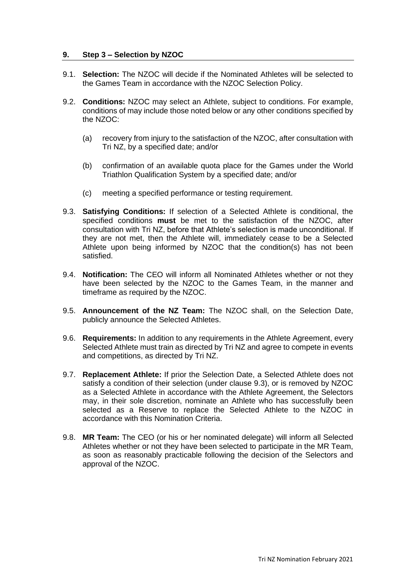### **9. Step 3 – Selection by NZOC**

- 9.1. **Selection:** The NZOC will decide if the Nominated Athletes will be selected to the Games Team in accordance with the NZOC Selection Policy.
- 9.2. **Conditions:** NZOC may select an Athlete, subject to conditions. For example, conditions of may include those noted below or any other conditions specified by the NZOC:
	- (a) recovery from injury to the satisfaction of the NZOC, after consultation with Tri NZ, by a specified date; and/or
	- (b) confirmation of an available quota place for the Games under the World Triathlon Qualification System by a specified date; and/or
	- (c) meeting a specified performance or testing requirement.
- 9.3. **Satisfying Conditions:** If selection of a Selected Athlete is conditional, the specified conditions **must** be met to the satisfaction of the NZOC, after consultation with Tri NZ, before that Athlete's selection is made unconditional. If they are not met, then the Athlete will, immediately cease to be a Selected Athlete upon being informed by NZOC that the condition(s) has not been satisfied.
- 9.4. **Notification:** The CEO will inform all Nominated Athletes whether or not they have been selected by the NZOC to the Games Team, in the manner and timeframe as required by the NZOC.
- 9.5. **Announcement of the NZ Team:** The NZOC shall, on the Selection Date, publicly announce the Selected Athletes.
- 9.6. **Requirements:** In addition to any requirements in the Athlete Agreement, every Selected Athlete must train as directed by Tri NZ and agree to compete in events and competitions, as directed by Tri NZ.
- 9.7. **Replacement Athlete:** If prior the Selection Date, a Selected Athlete does not satisfy a condition of their selection (under clause 9.3), or is removed by NZOC as a Selected Athlete in accordance with the Athlete Agreement, the Selectors may, in their sole discretion, nominate an Athlete who has successfully been selected as a Reserve to replace the Selected Athlete to the NZOC in accordance with this Nomination Criteria.
- 9.8. **MR Team:** The CEO (or his or her nominated delegate) will inform all Selected Athletes whether or not they have been selected to participate in the MR Team, as soon as reasonably practicable following the decision of the Selectors and approval of the NZOC.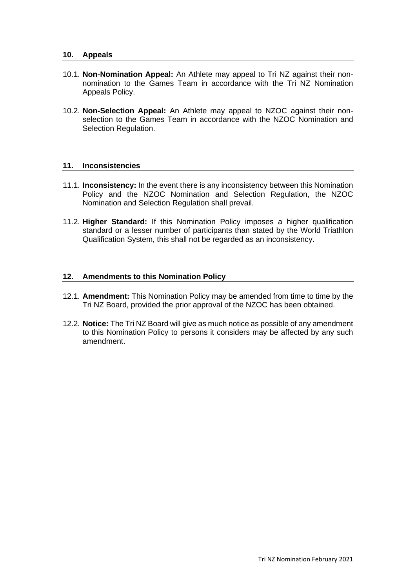#### **10. Appeals**

- 10.1. **Non-Nomination Appeal:** An Athlete may appeal to Tri NZ against their nonnomination to the Games Team in accordance with the Tri NZ Nomination Appeals Policy.
- 10.2. **Non-Selection Appeal:** An Athlete may appeal to NZOC against their nonselection to the Games Team in accordance with the NZOC Nomination and Selection Regulation.

### **11. Inconsistencies**

- 11.1. **Inconsistency:** In the event there is any inconsistency between this Nomination Policy and the NZOC Nomination and Selection Regulation, the NZOC Nomination and Selection Regulation shall prevail.
- 11.2. **Higher Standard:** If this Nomination Policy imposes a higher qualification standard or a lesser number of participants than stated by the World Triathlon Qualification System, this shall not be regarded as an inconsistency.

### **12. Amendments to this Nomination Policy**

- 12.1. **Amendment:** This Nomination Policy may be amended from time to time by the Tri NZ Board, provided the prior approval of the NZOC has been obtained.
- 12.2. **Notice:** The Tri NZ Board will give as much notice as possible of any amendment to this Nomination Policy to persons it considers may be affected by any such amendment.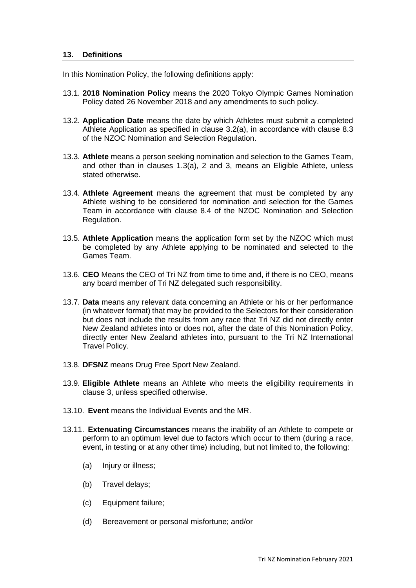#### <span id="page-12-0"></span>**13. Definitions**

In this Nomination Policy, the following definitions apply:

- 13.1. **2018 Nomination Policy** means the 2020 Tokyo Olympic Games Nomination Policy dated 26 November 2018 and any amendments to such policy.
- 13.2. **Application Date** means the date by which Athletes must submit a completed Athlete Application as specified in clause [3.2\(a\),](#page-2-1) in accordance with clause 8.3 of the NZOC Nomination and Selection Regulation.
- 13.3. **Athlete** means a person seeking nomination and selection to the Games Team, and other than in clauses [1.3\(a\),](#page-0-0) [2](#page-1-1) and [3,](#page-1-2) means an Eligible Athlete, unless stated otherwise.
- 13.4. **Athlete Agreement** means the agreement that must be completed by any Athlete wishing to be considered for nomination and selection for the Games Team in accordance with clause 8.4 of the NZOC Nomination and Selection Regulation.
- 13.5. **Athlete Application** means the application form set by the NZOC which must be completed by any Athlete applying to be nominated and selected to the Games Team.
- 13.6. **CEO** Means the CEO of Tri NZ from time to time and, if there is no CEO, means any board member of Tri NZ delegated such responsibility.
- 13.7. **Data** means any relevant data concerning an Athlete or his or her performance (in whatever format) that may be provided to the Selectors for their consideration but does not include the results from any race that Tri NZ did not directly enter New Zealand athletes into or does not, after the date of this Nomination Policy, directly enter New Zealand athletes into, pursuant to the Tri NZ International Travel Policy.
- 13.8. **DFSNZ** means Drug Free Sport New Zealand.
- 13.9. **Eligible Athlete** means an Athlete who meets the eligibility requirements in clause [3,](#page-1-2) unless specified otherwise.
- 13.10. **Event** means the Individual Events and the MR.
- 13.11. **Extenuating Circumstances** means the inability of an Athlete to compete or perform to an optimum level due to factors which occur to them (during a race, event, in testing or at any other time) including, but not limited to, the following:
	- (a) Injury or illness;
	- (b) Travel delays;
	- (c) Equipment failure;
	- (d) Bereavement or personal misfortune; and/or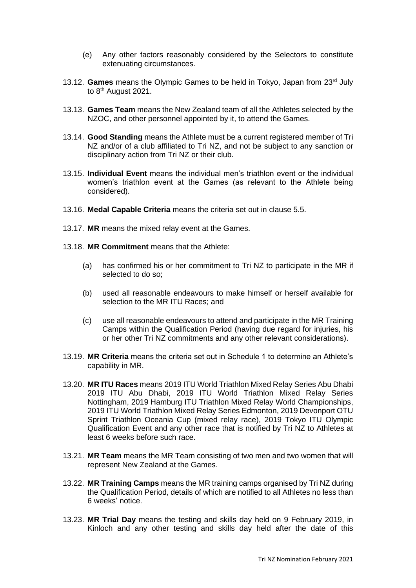- (e) Any other factors reasonably considered by the Selectors to constitute extenuating circumstances.
- 13.12. **Games** means the Olympic Games to be held in Tokyo, Japan from 23rd July to 8<sup>th</sup> August 2021.
- 13.13. **Games Team** means the New Zealand team of all the Athletes selected by the NZOC, and other personnel appointed by it, to attend the Games.
- 13.14. **Good Standing** means the Athlete must be a current registered member of Tri NZ and/or of a club affiliated to Tri NZ, and not be subject to any sanction or disciplinary action from Tri NZ or their club.
- 13.15. **Individual Event** means the individual men's triathlon event or the individual women's triathlon event at the Games (as relevant to the Athlete being considered).
- 13.16. **Medal Capable Criteria** means the criteria set out in clause 5.5.
- 13.17. **MR** means the mixed relay event at the Games.
- 13.18. **MR Commitment** means that the Athlete:
	- (a) has confirmed his or her commitment to Tri NZ to participate in the MR if selected to do so;
	- (b) used all reasonable endeavours to make himself or herself available for selection to the MR ITU Races; and
	- (c) use all reasonable endeavours to attend and participate in the MR Training Camps within the Qualification Period (having due regard for injuries, his or her other Tri NZ commitments and any other relevant considerations).
- 13.19. **MR Criteria** means the criteria set out in Schedule 1 to determine an Athlete's capability in MR.
- 13.20. **MR ITU Races** means [2019 ITU World Triathlon Mixed Relay Series Abu Dhabi](https://www.triathlon.org/events/event/2019_itu_world_triathlon_mixed_relay_series_abu_dhabi) 2019 ITU Abu Dhabi, [2019 ITU World Triathlon Mixed Relay Series](https://www.triathlon.org/events/event/2019_itu_world_triathlon_mixed_relay_series_nottingham)  [Nottingham,](https://www.triathlon.org/events/event/2019_itu_world_triathlon_mixed_relay_series_nottingham) [2019 Hamburg ITU Triathlon Mixed Relay World Championships,](https://www.triathlon.org/events/event/2019_hamburg_itu_triathlon_mixed_relay_world_championships) [2019 ITU World Triathlon Mixed Relay Series Edmonton,](https://edmonton.triathlon.org/) [2019 Devonport OTU](https://www.triathlon.org/events/event/2019_devonport_otu_sprint_triathlon_oceania_cup_and_sprint_triathlon_oceani)  [Sprint Triathlon Oceania Cup \(mixed relay race\),](https://www.triathlon.org/events/event/2019_devonport_otu_sprint_triathlon_oceania_cup_and_sprint_triathlon_oceani) [2019 Tokyo ITU](https://www.triathlon.org/events/event/2019_tokyo_itu_world_olympic_qualification_event) Olympic [Qualification Event](https://www.triathlon.org/events/event/2019_tokyo_itu_world_olympic_qualification_event) and any other race that is notified by Tri NZ to Athletes at least 6 weeks before such race.
- 13.21. **MR Team** means the MR Team consisting of two men and two women that will represent New Zealand at the Games.
- 13.22. **MR Training Camps** means the MR training camps organised by Tri NZ during the Qualification Period, details of which are notified to all Athletes no less than 6 weeks' notice.
- 13.23. **MR Trial Day** means the testing and skills day held on 9 February 2019, in Kinloch and any other testing and skills day held after the date of this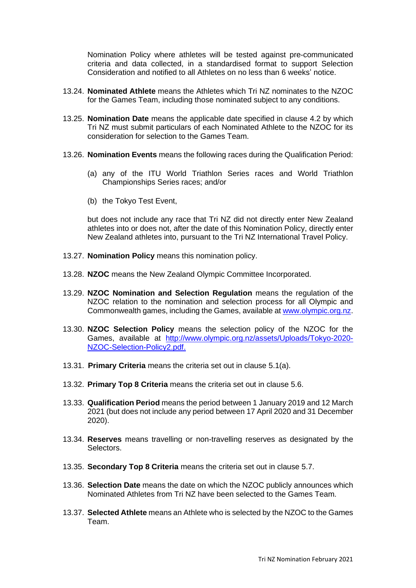Nomination Policy where athletes will be tested against pre-communicated criteria and data collected, in a standardised format to support Selection Consideration and notified to all Athletes on no less than 6 weeks' notice.

- 13.24. **Nominated Athlete** means the Athletes which Tri NZ nominates to the NZOC for the Games Team, including those nominated subject to any conditions.
- 13.25. **Nomination Date** means the applicable date specified in clause [4.2](#page-3-0) by which Tri NZ must submit particulars of each Nominated Athlete to the NZOC for its consideration for selection to the Games Team.
- 13.26. **Nomination Events** means the following races during the Qualification Period:
	- (a) any of the ITU World Triathlon Series races and World Triathlon Championships Series races; and/or
	- (b) the Tokyo Test Event,

but does not include any race that Tri NZ did not directly enter New Zealand athletes into or does not, after the date of this Nomination Policy, directly enter New Zealand athletes into, pursuant to the Tri NZ International Travel Policy.

- 13.27. **Nomination Policy** means this nomination policy.
- 13.28. **NZOC** means the New Zealand Olympic Committee Incorporated.
- 13.29. **NZOC Nomination and Selection Regulation** means the regulation of the NZOC relation to the nomination and selection process for all Olympic and Commonwealth games, including the Games, available at [www.olympic.org.nz.](http://www.olympic.org.nz/)
- 13.30. **NZOC Selection Policy** means the selection policy of the NZOC for the Games, available at [http://www.olympic.org.nz/assets/Uploads/Tokyo-2020-](http://www.olympic.org.nz/assets/Uploads/Tokyo-2020-NZOC-Selection-Policy2.pdf) [NZOC-Selection-Policy2.pdf.](http://www.olympic.org.nz/assets/Uploads/Tokyo-2020-NZOC-Selection-Policy2.pdf)
- 13.31. **Primary Criteria** means the criteria set out in clause 5.1(a).
- 13.32. **Primary Top 8 Criteria** means the criteria set out in clause 5.6.
- 13.33. **Qualification Period** means the period between 1 January 2019 and 12 March 2021 (but does not include any period between 17 April 2020 and 31 December 2020).
- 13.34. **Reserves** means travelling or non-travelling reserves as designated by the Selectors.
- 13.35. **Secondary Top 8 Criteria** means the criteria set out in clause 5.7.
- 13.36. **Selection Date** means the date on which the NZOC publicly announces which Nominated Athletes from Tri NZ have been selected to the Games Team.
- 13.37. **Selected Athlete** means an Athlete who is selected by the NZOC to the Games Team.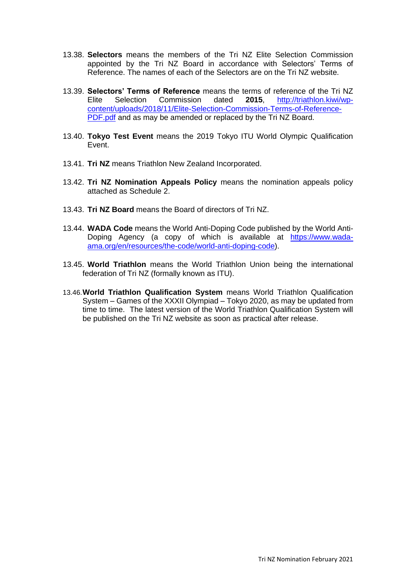- 13.38. **Selectors** means the members of the Tri NZ Elite Selection Commission appointed by the Tri NZ Board in accordance with Selectors' Terms of Reference. The names of each of the Selectors are on the Tri NZ website.
- 13.39. **Selectors' Terms of Reference** means the terms of reference of the Tri NZ Elite Selection Commission dated **2015**, [http://triathlon.kiwi/wp](http://triathlon.kiwi/wp-content/uploads/2018/11/Elite-Selection-Commission-Terms-of-Reference-PDF.pdf)[content/uploads/2018/11/Elite-Selection-Commission-Terms-of-Reference-](http://triathlon.kiwi/wp-content/uploads/2018/11/Elite-Selection-Commission-Terms-of-Reference-PDF.pdf)[PDF.pdf](http://triathlon.kiwi/wp-content/uploads/2018/11/Elite-Selection-Commission-Terms-of-Reference-PDF.pdf) and as may be amended or replaced by the Tri NZ Board.
- 13.40. **Tokyo Test Event** means the [2019 Tokyo ITU World Olympic Qualification](https://www.triathlon.org/events/event/2019_tokyo_itu_world_olympic_qualification_event)  [Event.](https://www.triathlon.org/events/event/2019_tokyo_itu_world_olympic_qualification_event)
- 13.41. **Tri NZ** means Triathlon New Zealand Incorporated.
- 13.42. **Tri NZ Nomination Appeals Policy** means the nomination appeals policy attached as Schedule 2.
- 13.43. **Tri NZ Board** means the Board of directors of Tri NZ.
- 13.44. **WADA Code** means the World Anti-Doping Code published by the World Anti-Doping Agency (a copy of which is available at [https://www.wada](https://www.wada-ama.org/en/resources/the-code/world-anti-doping-code)[ama.org/en/resources/the-code/world-anti-doping-code\)](https://www.wada-ama.org/en/resources/the-code/world-anti-doping-code).
- 13.45. **World Triathlon** means the World Triathlon Union being the international federation of Tri NZ (formally known as ITU).
- 13.46.**World Triathlon Qualification System** means World Triathlon Qualification System – Games of the XXXII Olympiad – Tokyo 2020, as may be updated from time to time. The latest version of the World Triathlon Qualification System will be published on the Tri NZ website as soon as practical after release.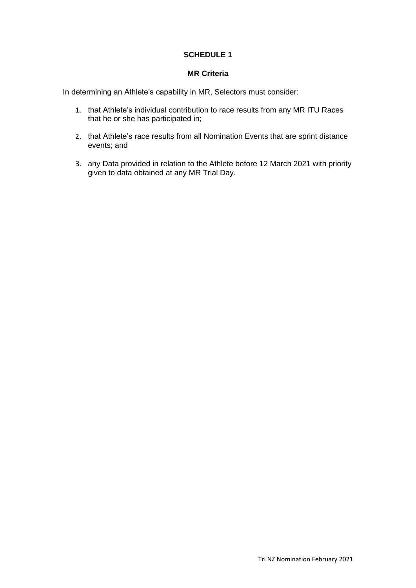# **SCHEDULE 1**

### **MR Criteria**

In determining an Athlete's capability in MR, Selectors must consider:

- 1. that Athlete's individual contribution to race results from any MR ITU Races that he or she has participated in;
- 2. that Athlete's race results from all Nomination Events that are sprint distance events; and
- 3. any Data provided in relation to the Athlete before 12 March 2021 with priority given to data obtained at any MR Trial Day.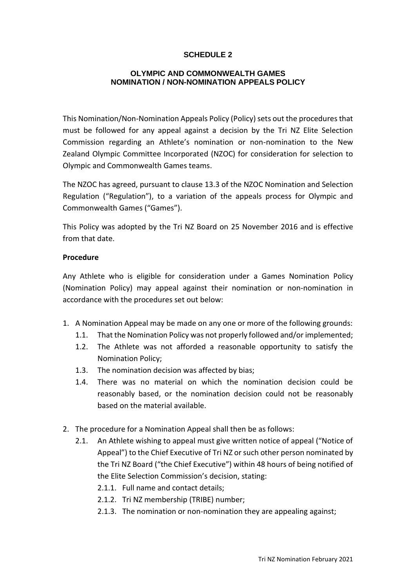# **SCHEDULE 2**

## **OLYMPIC AND COMMONWEALTH GAMES NOMINATION / NON-NOMINATION APPEALS POLICY**

This Nomination/Non-Nomination Appeals Policy (Policy) sets out the procedures that must be followed for any appeal against a decision by the Tri NZ Elite Selection Commission regarding an Athlete's nomination or non-nomination to the New Zealand Olympic Committee Incorporated (NZOC) for consideration for selection to Olympic and Commonwealth Games teams.

The NZOC has agreed, pursuant to clause 13.3 of the NZOC Nomination and Selection Regulation ("Regulation"), to a variation of the appeals process for Olympic and Commonwealth Games ("Games").

This Policy was adopted by the Tri NZ Board on 25 November 2016 and is effective from that date.

## **Procedure**

Any Athlete who is eligible for consideration under a Games Nomination Policy (Nomination Policy) may appeal against their nomination or non-nomination in accordance with the procedures set out below:

- 1. A Nomination Appeal may be made on any one or more of the following grounds:
	- 1.1. That the Nomination Policy was not properly followed and/or implemented;
	- 1.2. The Athlete was not afforded a reasonable opportunity to satisfy the Nomination Policy;
	- 1.3. The nomination decision was affected by bias;
	- 1.4. There was no material on which the nomination decision could be reasonably based, or the nomination decision could not be reasonably based on the material available.
- 2. The procedure for a Nomination Appeal shall then be as follows:
	- 2.1. An Athlete wishing to appeal must give written notice of appeal ("Notice of Appeal") to the Chief Executive of Tri NZ or such other person nominated by the Tri NZ Board ("the Chief Executive") within 48 hours of being notified of the Elite Selection Commission's decision, stating:
		- 2.1.1. Full name and contact details;
		- 2.1.2. Tri NZ membership (TRIBE) number;
		- 2.1.3. The nomination or non-nomination they are appealing against;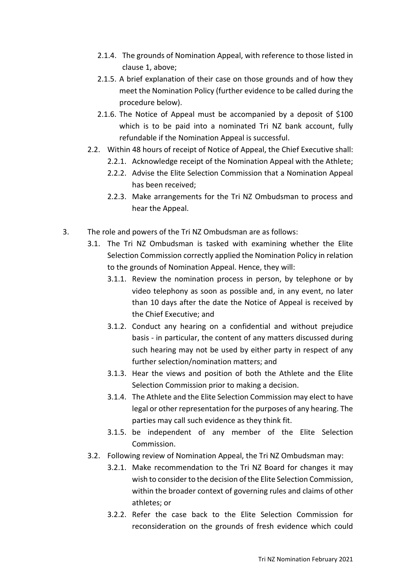- 2.1.4. The grounds of Nomination Appeal, with reference to those listed in clause 1, above;
- 2.1.5. A brief explanation of their case on those grounds and of how they meet the Nomination Policy (further evidence to be called during the procedure below).
- 2.1.6. The Notice of Appeal must be accompanied by a deposit of \$100 which is to be paid into a nominated Tri NZ bank account, fully refundable if the Nomination Appeal is successful.
- 2.2. Within 48 hours of receipt of Notice of Appeal, the Chief Executive shall:
	- 2.2.1. Acknowledge receipt of the Nomination Appeal with the Athlete;
	- 2.2.2. Advise the Elite Selection Commission that a Nomination Appeal has been received;
	- 2.2.3. Make arrangements for the Tri NZ Ombudsman to process and hear the Appeal.
- 3. The role and powers of the Tri NZ Ombudsman are as follows:
	- 3.1. The Tri NZ Ombudsman is tasked with examining whether the Elite Selection Commission correctly applied the Nomination Policy in relation to the grounds of Nomination Appeal. Hence, they will:
		- 3.1.1. Review the nomination process in person, by telephone or by video telephony as soon as possible and, in any event, no later than 10 days after the date the Notice of Appeal is received by the Chief Executive; and
		- 3.1.2. Conduct any hearing on a confidential and without prejudice basis - in particular, the content of any matters discussed during such hearing may not be used by either party in respect of any further selection/nomination matters; and
		- 3.1.3. Hear the views and position of both the Athlete and the Elite Selection Commission prior to making a decision.
		- 3.1.4. The Athlete and the Elite Selection Commission may elect to have legal or other representation for the purposes of any hearing. The parties may call such evidence as they think fit.
		- 3.1.5. be independent of any member of the Elite Selection Commission.
	- 3.2. Following review of Nomination Appeal, the Tri NZ Ombudsman may:
		- 3.2.1. Make recommendation to the Tri NZ Board for changes it may wish to consider to the decision of the Elite Selection Commission, within the broader context of governing rules and claims of other athletes; or
		- 3.2.2. Refer the case back to the Elite Selection Commission for reconsideration on the grounds of fresh evidence which could